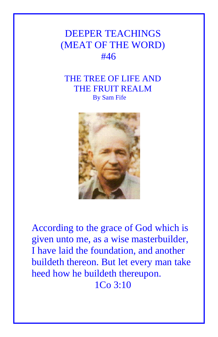## DEEPER TEACHINGS (MEAT OF THE WORD) #46

## THE TREE OF LIFE AND THE FRUIT REALM By Sam Fife



According to the grace of God which is given unto me, as a wise masterbuilder, I have laid the foundation, and another buildeth thereon. But let every man take heed how he buildeth thereupon. 1Co 3:10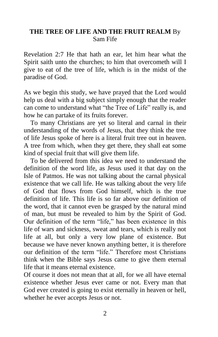## **THE TREE OF LIFE AND THE FRUIT REALM** By Sam Fife

Revelation 2:7 He that hath an ear, let him hear what the Spirit saith unto the churches; to him that overcometh will I give to eat of the tree of life, which is in the midst of the paradise of God.

As we begin this study, we have prayed that the Lord would help us deal with a big subject simply enough that the reader can come to understand what "the Tree of Life" really is, and how he can partake of its fruits forever.

 To many Christians are yet so literal and carnal in their understanding of the words of Jesus, that they think the tree of life Jesus spoke of here is a literal fruit tree out in heaven. A tree from which, when they get there, they shall eat some kind of special fruit that will give them life.

 To be delivered from this idea we need to understand the definition of the word life, as Jesus used it that day on the Isle of Patmos. He was not talking about the carnal physical existence that we call life. He was talking about the very life of God that flows from God himself, which is the true definition of life. This life is so far above our definition of the word, that it cannot even be grasped by the natural mind of man, but must be revealed to him by the Spirit of God. Our definition of the term "life," has been existence in this life of wars and sickness, sweat and tears, which is really not life at all, but only a very low plane of existence. But because we have never known anything better, it is therefore our definition of the term "life." Therefore most Christians think when the Bible says Jesus came to give them eternal life that it means eternal existence.

Of course it does not mean that at all, for we all have eternal existence whether Jesus ever came or not. Every man that God ever created is going to exist eternally in heaven or hell, whether he ever accepts Jesus or not.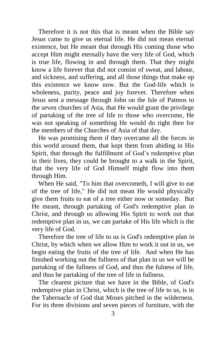Therefore it is not this that is meant when the Bible say Jesus came to give us eternal life. He did not mean eternal existence, but He meant that through His coming those who accept Him might eternally have the very life of God, which is true life, flowing in and through them. That they might know a life forever that did not consist of sweat, and labour, and sickness, and suffering, and all those things that make up this existence we know now. But the God-life which is wholeness, purity, peace and joy forever. Therefore when Jesus sent a message through John on the Isle of Patmos to the seven churches of Asia, that He would grant the privilege of partaking of the tree of life to those who overcome, He was not speaking of something He would do right then for the members of the Churches of Asia of that day.

 He was promising them if they overcame all the forces in this world around them, that kept them from abiding in His Spirit, that through the fulfillment of God's redemptive plan in their lives, they could be brought to a walk in the Spirit, that the very life of God Himself might flow into them through Him.

 When He said, "To him that overcometh, I will give to eat of the tree of life," He did not mean He would physically give them fruits to eat of a tree either now or someday. But He meant, through partaking of God's redemptive plan in Christ, and through us allowing His Spirit to work out that redemptive plan in us, we can partake of His life which is the very life of God.

 Therefore the tree of life to us is God's redemptive plan in Christ, by which when we allow Him to work it out in us, we begin eating the fruits of the tree of life. And when He has finished working out the fullness of that plan in us we will be partaking of the fullness of God, and thus the fulness of life, and thus be partaking of the tree of life in fullness.

 The clearest picture that we have in the Bible, of God's redemptive plan in Christ, which is the tree of life to us, is in the Tabernacle of God that Moses pitched in the wilderness. For its three divisions and seven pieces of furniture, with the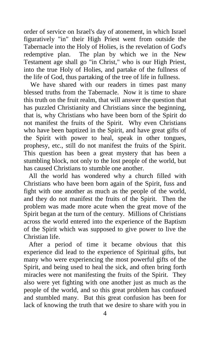order of service on Israel's day of atonement, in which Israel figuratively "in" their High Priest went from outside the Tabernacle into the Holy of Holies, is the revelation of God's redemptive plan. The plan by which we in the New Testament age shall go "in Christ," who is our High Priest, into the true Holy of Holies, and partake of the fullness of the life of God, thus partaking of the tree of life in fullness.

We have shared with our readers in times past many blessed truths from the Tabernacle. Now it is time to share this truth on the fruit realm, that will answer the question that has puzzled Christianity and Christians since the beginning, that is, why Christians who have been born of the Spirit do not manifest the fruits of the Spirit. Why even Christians who have been baptized in the Spirit, and have great gifts of the Spirit with power to heal, speak in other tongues, prophesy, etc., still do not manifest the fruits of the Spirit. This question has been a great mystery that has been a stumbling block, not only to the lost people of the world, but has caused Christians to stumble one another.

 All the world has wondered why a church filled with Christians who have been born again of the Spirit, fuss and fight with one another as much as the people of the world, and they do not manifest the fruits of the Spirit. Then the problem was made more acute when the great move of the Spirit began at the turn of the century. Millions of Christians across the world entered into the experience of the Baptism of the Spirit which was supposed to give power to live the Christian life.

 After a period of time it became obvious that this experience did lead to the experience of Spiritual gifts, but many who were experiencing the most powerful gifts of the Spirit, and being used to heal the sick, and often bring forth miracles were not manifesting the fruits of the Spirit. They also were yet fighting with one another just as much as the people of the world, and so this great problem has confused and stumbled many. But this great confusion has been for lack of knowing the truth that we desire to share with you in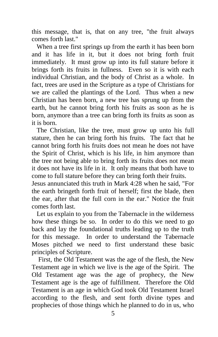this message, that is, that on any tree, "the fruit always comes forth last."

 When a tree first springs up from the earth it has been born and it has life in it, but it does not bring forth fruit immediately. It must grow up into its full stature before it brings forth its fruits in fullness. Even so it is with each individual Christian, and the body of Christ as a whole. In fact, trees are used in the Scripture as a type of Christians for we are called the plantings of the Lord. Thus when a new Christian has been born, a new tree has sprung up from the earth, but he cannot bring forth his fruits as soon as he is born, anymore than a tree can bring forth its fruits as soon as it is born.

 The Christian, like the tree, must grow up unto his full stature, then he can bring forth his fruits. The fact that he cannot bring forth his fruits does not mean he does not have the Spirit of Christ, which is his life, in him anymore than the tree not being able to bring forth its fruits does not mean it does not have its life in it. It only means that both have to come to full stature before they can bring forth their fruits.

Jesus annunciated this truth in Mark 4:28 when he said, "For the earth bringeth forth fruit of herself; first the blade, then the ear, after that the full corn in the ear." Notice the fruit comes forth last.

 Let us explain to you from the Tabernacle in the wilderness how these things be so. In order to do this we need to go back and lay the foundational truths leading up to the truth for this message. In order to understand the Tabernacle Moses pitched we need to first understand these basic principles of Scripture.

 First, the Old Testament was the age of the flesh, the New Testament age in which we live is the age of the Spirit. The Old Testament age was the age of prophecy, the New Testament age is the age of fulfillment. Therefore the Old Testament is an age in which God took Old Testament Israel according to the flesh, and sent forth divine types and prophecies of those things which he planned to do in us, who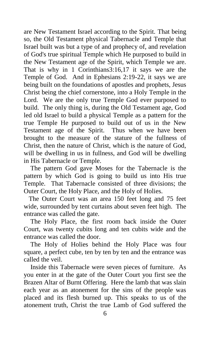are New Testament Israel according to the Spirit. That being so, the Old Testament physical Tabernacle and Temple that Israel built was but a type of and prophecy of, and revelation of God's true spiritual Temple which He purposed to build in the New Testament age of the Spirit, which Temple we are. That is why in 1 Corinthians3:16,17 it says we are the Temple of God. And in Ephesians 2:19-22, it says we are being built on the foundations of apostles and prophets, Jesus Christ being the chief cornerstone, into a Holy Temple in the Lord. We are the only true Temple God ever purposed to build. The only thing is, during the Old Testament age, God led old Israel to build a physical Temple as a pattern for the true Temple He purposed to build out of us in the New Testament age of the Spirit. Thus when we have been brought to the measure of the stature of the fullness of Christ, then the nature of Christ, which is the nature of God, will be dwelling in us in fullness, and God will be dwelling in His Tabernacle or Temple.

 The pattern God gave Moses for the Tabernacle is the pattern by which God is going to build us into His true Temple. That Tabernacle consisted of three divisions; the Outer Court, the Holy Place, and the Holy of Holies.

 The Outer Court was an area 150 feet long and 75 feet wide, surrounded by tent curtains about seven feet high. The entrance was called the gate.

 The Holy Place, the first room back inside the Outer Court, was twenty cubits long and ten cubits wide and the entrance was called the door.

 The Holy of Holies behind the Holy Place was four square, a perfect cube, ten by ten by ten and the entrance was called the veil.

 Inside this Tabernacle were seven pieces of furniture. As you enter in at the gate of the Outer Court you first see the Brazen Altar of Burnt Offering. Here the lamb that was slain each year as an atonement for the sins of the people was placed and its flesh burned up. This speaks to us of the atonement truth, Christ the true Lamb of God suffered the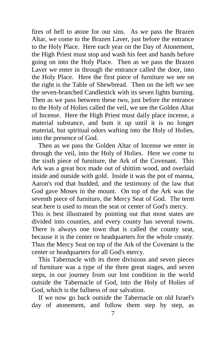fires of hell to atone for our sins. As we pass the Brazen Altar, we come to the Brazen Laver, just before the entrance to the Holy Place. Here each year on the Day of Atonement, the High Priest must stop and wash his feet and hands before going on into the Holy Place. Then as we pass the Brazen Laver we enter in through the entrance called the door, into the Holy Place. Here the first piece of furniture we see on the right is the Table of Shewbread. Then on the left we see the seven-branched Candlestick with its seven lights burning. Then as we pass between these two, just before the entrance to the Holy of Holies called the veil, we see the Golden Altar of Incense. Here the High Priest must daily place incense, a material substance, and bum it up until it is no longer material, but spiritual odors wafting into the Holy of Holies, into the presence of God.

 Then as we pass the Golden Altar of Incense we enter in through the veil, into the Holy of Holies. Here we come to the sixth piece of furniture, the Ark of the Covenant. This Ark was a great box made out of shittim wood, and overlaid inside and outside with gold. Inside it was the pot of manna, Aaron's rod that budded, and the testimony of the law that God gave Moses in the mount. On top of the Ark was the seventh piece of furniture, the Mercy Seat of God. The term seat here is used to mean the seat or center of God's mercy.

This is best illustrated by pointing out that most states are divided into counties, and every county has several towns. There is always one town that is called the county seat, because it is the center or headquarters for the whole county. Thus the Mercy Seat on top of the Ark of the Covenant is the center or headquarters for all God's mercy.

 This Tabernacle with its three divisions and seven pieces of furniture was a type of the three great stages, and seven steps, in our journey from our lost condition in the world outside the Tabernacle of God, into the Holy of Holies of God, which is the fullness of our salvation.

 If we now go back outside the Tabernacle on old Israel's day of atonement, and follow them step by step, as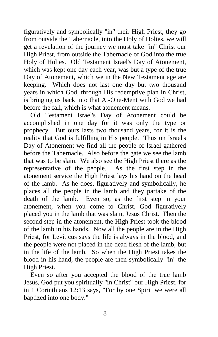figuratively and symbolically "in" their High Priest, they go from outside the Tabernacle, into the Holy of Holies, we will get a revelation of the journey we must take "in" Christ our High Priest, from outside the Tabernacle of God into the true Holy of Holies. Old Testament Israel's Day of Atonement, which was kept one day each year, was but a type of the true Day of Atonement, which we in the New Testament age are keeping. Which does not last one day but two thousand years in which God, through His redemptive plan in Christ, is bringing us back into that At-One-Ment with God we had before the fall, which is what atonement means.

 Old Testament Israel's Day of Atonement could be accomplished in one day for it was only the type or prophecy. But ours lasts two thousand years, for it is the reality that God is fulfilling in His people. Thus on Israel's Day of Atonement we find all the people of Israel gathered before the Tabernacle. Also before the gate we see the lamb that was to be slain. We also see the High Priest there as the representative of the people. As the first step in the atonement service the High Priest lays his hand on the head of the lamb. As he does, figuratively and symbolically, he places all the people in the lamb and they partake of the death of the lamb. Even so, as the first step in your atonement, when you come to Christ, God figuratively placed you in the lamb that was slain, Jesus Christ. Then the second step in the atonement, the High Priest took the blood of the lamb in his hands. Now all the people are in the High Priest, for Leviticus says the life is always in the blood, and the people were not placed in the dead flesh of the lamb, but in the life of the lamb. So when the High Priest takes the blood in his hand, the people are then symbolically "in" the High Priest.

 Even so after you accepted the blood of the true lamb Jesus, God put you spiritually "in Christ" our High Priest, for in 1 Corinthians 12:13 says, "For by one Spirit we were all baptized into one body."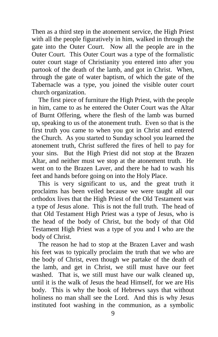Then as a third step in the atonement service, the High Priest with all the people figuratively in him, walked in through the gate into the Outer Court. Now all the people are in the Outer Court. This Outer Court was a type of the formalistic outer court stage of Christianity you entered into after you partook of the death of the lamb, and got in Christ. When, through the gate of water baptism, of which the gate of the Tabernacle was a type, you joined the visible outer court church organization.

 The first piece of furniture the High Priest, with the people in him, came to as he entered the Outer Court was the Altar of Burnt Offering, where the flesh of the lamb was burned up, speaking to us of the atonement truth. Even so that is the first truth you came to when you got in Christ and entered the Church. As you started to Sunday school you learned the atonement truth, Christ suffered the fires of hell to pay for your sins. But the High Priest did not stop at the Brazen Altar, and neither must we stop at the atonement truth. He went on to the Brazen Laver, and there he had to wash his feet and hands before going on into the Holy Place.

 This is very significant to us, and the great truth it proclaims has been veiled because we were taught all our orthodox lives that the High Priest of the Old Testament was a type of Jesus alone. This is not the full truth. The head of that Old Testament High Priest was a type of Jesus, who is the head of the body of Christ, but the body of that Old Testament High Priest was a type of you and I who are the body of Christ.

 The reason he had to stop at the Brazen Laver and wash his feet was to typically proclaim the truth that we who are the body of Christ, even though we partake of the death of the lamb, and get in Christ, we still must have our feet washed. That is, we still must have our walk cleaned up, until it is the walk of Jesus the head Himself, for we are His body. This is why the book of Hebrews says that without holiness no man shall see the Lord. And this is why Jesus instituted foot washing in the communion, as a symbolic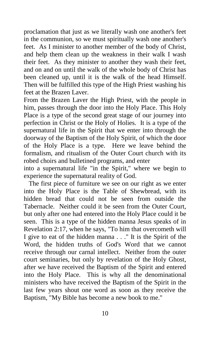proclamation that just as we literally wash one another's feet in the communion, so we must spiritually wash one another's feet. As I minister to another member of the body of Christ, and help them clean up the weakness in their walk I wash their feet. As they minister to another they wash their feet, and on and on until the walk of the whole body of Christ has been cleaned up, until it is the walk of the head Himself. Then will be fulfilled this type of the High Priest washing his feet at the Brazen Laver.

From the Brazen Laver the High Priest, with the people in him, passes through the door into the Holy Place. This Holy Place is a type of the second great stage of our journey into perfection in Christ or the Holy of Holies. It is a type of the supernatural life in the Spirit that we enter into through the doorway of the Baptism of the Holy Spirit, of which the door of the Holy Place is a type. Here we leave behind the formalism, and ritualism of the Outer Court church with its robed choirs and bulletined programs, and enter

into a supernatural life "in the Spirit," where we begin to experience the supernatural reality of God.

 The first piece of furniture we see on our right as we enter into the Holy Place is the Table of Shewbread, with its hidden bread that could not be seen from outside the Tabernacle. Neither could it be seen from the Outer Court, but only after one had entered into the Holy Place could it be seen. This is a type of the hidden manna Jesus speaks of in Revelation 2:17, when he says, "To him that overcometh will I give to eat of the hidden manna . . ." It is the Spirit of the Word, the hidden truths of God's Word that we cannot receive through our carnal intellect. Neither from the outer court seminaries, but only by revelation of the Holy Ghost, after we have received the Baptism of the Spirit and entered into the Holy Place. This is why all the denominational ministers who have received the Baptism of the Spirit in the last few years shout one word as soon as they receive the Baptism, "My Bible has become a new book to me."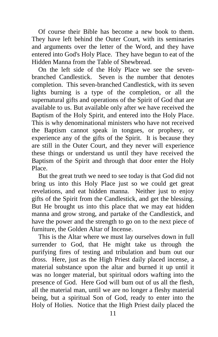Of course their Bible has become a new book to them. They have left behind the Outer Court, with its seminaries and arguments over the letter of the Word, and they have entered into God's Holy Place. They have begun to eat of the Hidden Manna from the Table of Shewbread.

 On the left side of the Holy Place we see the sevenbranched Candlestick. Seven is the number that denotes completion. This seven-branched Candlestick, with its seven lights burning is a type of the completion, or all the supernatural gifts and operations of the Spirit of God that are available to us. But available only after we have received the Baptism of the Holy Spirit, and entered into the Holy Place. This is why denominational ministers who have not received the Baptism cannot speak in tongues, or prophesy, or experience any of the gifts of the Spirit. It is because they are still in the Outer Court, and they never will experience these things or understand us until they have received the Baptism of the Spirit and through that door enter the Holy Place.

 But the great truth we need to see today is that God did not bring us into this Holy Place just so we could get great revelations, and eat hidden manna. Neither just to enjoy gifts of the Spirit from the Candlestick, and get the blessing. But He brought us into this place that we may eat hidden manna and grow strong, and partake of the Candlestick, and have the power and the strength to go on to the next piece of furniture, the Golden Altar of Incense.

 This is the Altar where we must lay ourselves down in full surrender to God, that He might take us through the purifying fires of testing and tribulation and bum out our dross. Here, just as the High Priest daily placed incense, a material substance upon the altar and burned it up until it was no longer material, but spiritual odors wafting into the presence of God. Here God will bum out of us all the flesh, all the material man, until we are no longer a fleshy material being, but a spiritual Son of God, ready to enter into the Holy of Holies. Notice that the High Priest daily placed the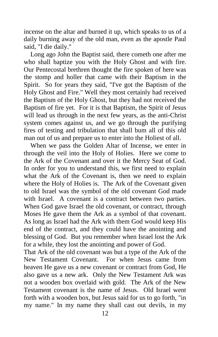incense on the altar and burned it up, which speaks to us of a daily burning away of the old man, even as the apostle Paul said, "I die daily."

 Long ago John the Baptist said, there cometh one after me who shall baptize you with the Holy Ghost and with fire. Our Pentecostal brethren thought the fire spoken of here was the stomp and holler that came with their Baptism in the Spirit. So for years they said, "I've got the Baptism of the Holy Ghost and Fire." Well they most certainly had received the Baptism of the Holy Ghost, but they had not received the Baptism of fire yet. For it is that Baptism, the Spirit of Jesus will lead us through in the next few years, as the anti-Christ system comes against us, and we go through the purifying fires of testing and tribulation that shall bum all of this old man out of us and prepare us to enter into the Holiest of all.

 When we pass the Golden Altar of Incense, we enter in through the veil into the Holy of Holies. Here we come to the Ark of the Covenant and over it the Mercy Seat of God. In order for you to understand this, we first need to explain what the Ark of the Covenant is, then we need to explain where the Holy of Holies is. The Ark of the Covenant given to old Israel was the symbol of the old covenant God made with Israel. A covenant is a contract between two parties. When God gave Israel the old covenant, or contract, through Moses He gave them the Ark as a symbol of that covenant. As long as Israel had the Ark with them God would keep His end of the contract, and they could have the anointing and blessing of God. But you remember when Israel lost the Ark for a while, they lost the anointing and power of God.

That Ark of the old covenant was but a type of the Ark of the New Testament Covenant. For when Jesus came from heaven He gave us a new covenant or contract from God, He also gave us a new ark. Only the New Testament Ark was not a wooden box overlaid with gold. The Ark of the New Testament covenant is the name of Jesus. Old Israel went forth with a wooden box, but Jesus said for us to go forth, "in my name." In my name they shall cast out devils, in my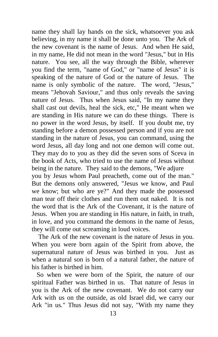name they shall lay hands on the sick, whatsoever you ask believing, in my name it shall be done unto you. The Ark of the new covenant is the name of Jesus. And when He said, in my name, He did not mean in the word "Jesus," but in His nature. You see, all the way through the Bible, wherever you find the term, "name of God," or "name of Jesus" it is speaking of the nature of God or the nature of Jesus. The name is only symbolic of the nature. The word, "Jesus," means "Jehovah Saviour," and thus only reveals the saving nature of Jesus. Thus when Jesus said, "In my name they shall cast out devils, heal the sick, etc," He meant when we are standing in His nature we can do these things. There is no power in the word Jesus, by itself. If you doubt me, try standing before a demon possessed person and if you are not standing in the nature of Jesus, you can command, using the word Jesus, all day long and not one demon will come out. They may do to you as they did the seven sons of Sceva in the book of Acts, who tried to use the name of Jesus without being in the nature. They said to the demons, "We adjure you by Jesus whom Paul preacheth, come out of the man." But the demons only answered, "Jesus we know, and Paul we know; but who are ye?" And they made the possessed man tear off their clothes and run them out naked. It is not the word that is the Ark of the Covenant, it is the nature of Jesus. When you are standing in His nature, in faith, in truth, in love, and you command the demons in the name of Jesus, they will come out screaming in loud voices.

 The Ark of the new covenant is the nature of Jesus in you. When you were born again of the Spirit from above, the supernatural nature of Jesus was birthed in you. Just as when a natural son is born of a natural father, the nature of his father is birthed in him.

 So when we were born of the Spirit, the nature of our spiritual Father was birthed in us. That nature of Jesus in you is the Ark of the new covenant. We do not carry our Ark with us on the outside, as old Israel did, we carry our Ark "in us." Thus Jesus did not say, "With my name they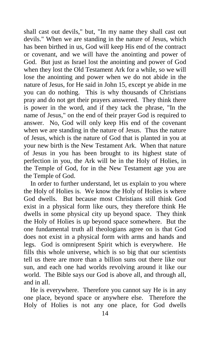shall cast out devils," but, "In my name they shall cast out devils." When we are standing in the nature of Jesus, which has been birthed in us, God will keep His end of the contract or covenant, and we will have the anointing and power of God. But just as Israel lost the anointing and power of God when they lost the Old Testament Ark for a while, so we will lose the anointing and power when we do not abide in the nature of Jesus, for He said in John 15, except ye abide in me you can do nothing. This is why thousands of Christians pray and do not get their prayers answered. They think there is power in the word, and if they tack the phrase, "In the name of Jesus," on the end of their prayer God is required to answer. No, God will only keep His end of the covenant when we are standing in the nature of Jesus. Thus the nature of Jesus, which is the nature of God that is planted in you at your new birth is the New Testament Ark. When that nature of Jesus in you has been brought to its highest state of perfection in you, the Ark will be in the Holy of Holies, in the Temple of God, for in the New Testament age you are the Temple of God.

 In order to further understand, let us explain to you where the Holy of Holies is. We know the Holy of Holies is where God dwells. But because most Christians still think God exist in a physical form like ours, they therefore think He dwells in some physical city up beyond space. They think the Holy of Holies is up beyond space somewhere. But the one fundamental truth all theologians agree on is that God does not exist in a physical form with arms and hands and legs. God is omnipresent Spirit which is everywhere. He fills this whole universe, which is so big that our scientists tell us there are more than a billion suns out there like our sun, and each one had worlds revolving around it like our world. The Bible says our God is above all, and through all, and in all.

 He is everywhere. Therefore you cannot say He is in any one place, beyond space or anywhere else. Therefore the Holy of Holies is not any one place, for God dwells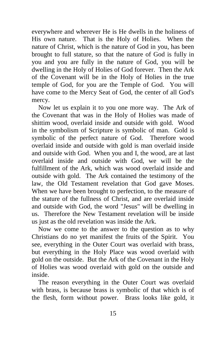everywhere and wherever He is He dwells in the holiness of His own nature. That is the Holy of Holies. When the nature of Christ, which is the nature of God in you, has been brought to full stature, so that the nature of God is fully in you and you are fully in the nature of God, you will be dwelling in the Holy of Holies of God forever. Then the Ark of the Covenant will be in the Holy of Holies in the true temple of God, for you are the Temple of God. You will have come to the Mercy Seat of God, the center of all God's mercy.

 Now let us explain it to you one more way. The Ark of the Covenant that was in the Holy of Holies was made of shittim wood, overlaid inside and outside with gold. Wood in the symbolism of Scripture is symbolic of man. Gold is symbolic of the perfect nature of God. Therefore wood overlaid inside and outside with gold is man overlaid inside and outside with God. When you and I, the wood, are at last overlaid inside and outside with God, we will be the fulfillment of the Ark, which was wood overlaid inside and outside with gold. The Ark contained the testimony of the law, the Old Testament revelation that God gave Moses. When we have been brought to perfection, to the measure of the stature of the fullness of Christ, and are overlaid inside and outside with God, the word "Jesus" will be dwelling in us. Therefore the New Testament revelation will be inside us just as the old revelation was inside the Ark.

 Now we come to the answer to the question as to why Christians do no yet manifest the fruits of the Spirit. You see, everything in the Outer Court was overlaid with brass, but everything in the Holy Place was wood overlaid with gold on the outside. But the Ark of the Covenant in the Holy of Holies was wood overlaid with gold on the outside and inside.

 The reason everything in the Outer Court was overlaid with brass, is because brass is symbolic of that which is of the flesh, form without power. Brass looks like gold, it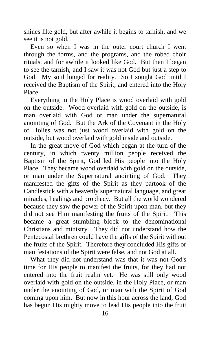shines like gold, but after awhile it begins to tarnish, and we see it is not gold.

 Even so when I was in the outer court church I went through the forms, and the programs, and the robed choir rituals, and for awhile it looked like God. But then I began to see the tarnish, and I saw it was not God but just a step to God. My soul longed for reality. So I sought God until I received the Baptism of the Spirit, and entered into the Holy Place.

 Everything in the Holy Place is wood overlaid with gold on the outside. Wood overlaid with gold on the outside, is man overlaid with God or man under the supernatural anointing of God. But the Ark of the Covenant in the Holy of Holies was not just wood overlaid with gold on the outside, but wood overlaid with gold inside and outside.

 In the great move of God which began at the turn of the century, in which twenty million people received the Baptism of the Spirit, God led His people into the Holy Place. They became wood overlaid with gold on the outside, or man under the Supernatural anointing of God. They manifested the gifts of the Spirit as they partook of the Candlestick with a heavenly supernatural language, and great miracles, healings and prophecy. But all the world wondered because they saw the power of the Spirit upon man, but they did not see Him manifesting the fruits of the Spirit. This became a great stumbling block to the denominational Christians and ministry. They did not understand how the Pentecostal brethren could have the gifts of the Spirit without the fruits of the Spirit. Therefore they concluded His gifts or manifestations of the Spirit were false, and not God at all.

 What they did not understand was that it was not God's time for His people to manifest the fruits, for they had not entered into the fruit realm yet. He was still only wood overlaid with gold on the outside, in the Holy Place, or man under the anointing of God, or man with the Spirit of God coming upon him. But now in this hour across the land, God has begun His mighty move to lead His people into the fruit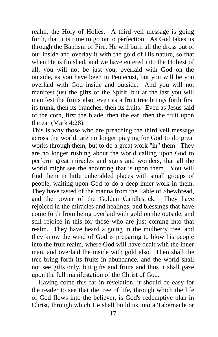realm, the Holy of Holies. A third veil message is going forth, that it is time to go on to perfection. As God takes us through the Baptism of Fire, He will burn all the dross out of our inside and overlay it with the gold of His nature, so that when He is finished, and we have entered into the Holiest of all, you will not be just you, overlaid with God on the outside, as you have been in Pentecost, but you will be you overlaid with God inside and outside. And you will not manifest just the gifts of the Spirit, but at the last you will manifest the fruits also, even as a fruit tree brings forth first its trunk, then its branches, then its fruits. Even as Jesus said of the corn, first the blade, then the ear, then the fruit upon the ear (Mark 4:28).

This is why those who are preaching the third veil message across the world, are no longer praying for God to do great works through them, but to do a great work "in" them. They are no longer rushing about the world calling upon God to perform great miracles and signs and wonders, that all the world might see the anointing that is upon them. You will find them in little unheralded places with small groups of people, waiting upon God to do a deep inner work in them. They have tasted of the manna from the Table of Shewbread, and the power of the Golden Candlestick. They have rejoiced in the miracles and healings, and blessings that have come forth from being overlaid with gold on the outside, and still rejoice in this for those who are just coming into that realm. They have heard a going in the mulberry tree, and they know the wind of God is preparing to blow his people into the fruit realm, where God will have dealt with the inner man, and overlaid the inside with gold also. Then shall the tree bring forth its fruits in abundance, and the world shall not see gifts only, but gifts and fruits and thus it shall gaze upon the full manifestation of the Christ of God.

 Having come this far in revelation, it should be easy for the reader to see that the tree of life, through which the life of God flows into the believer, is God's redemptive plan in Christ, through which He shall build us into a Tabernacle or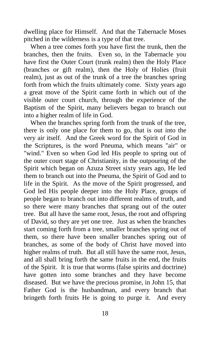dwelling place for Himself. And that the Tabernacle Moses pitched in the wilderness is a type of that tree.

 When a tree comes forth you have first the trunk, then the branches, then the fruits. Even so, in the Tabernacle you have first the Outer Court (trunk realm) then the Holy Place (branches or gift realm), then the Holy of Holies (fruit realm), just as out of the trunk of a tree the branches spring forth from which the fruits ultimately come. Sixty years ago a great move of the Spirit came forth in which out of the visible outer court church, through the experience of the Baptism of the Spirit, many believers began to branch out into a higher realm of life in God.

 When the branches spring forth from the trunk of the tree, there is only one place for them to go, that is out into the very air itself. And the Greek word for the Spirit of God in the Scriptures, is the word Pneuma, which means "air" or "wind." Even so when God led His people to spring out of the outer court stage of Christianity, in the outpouring of the Spirit which began on Azuza Street sixty years ago, He led them to branch out into the Pneuma, the Spirit of God and to life in the Spirit. As the move of the Spirit progressed, and God led His people deeper into the Holy Place, groups of people began to branch out into different realms of truth, and so there were many branches that sprang out of the outer tree. But all have the same root, Jesus, the root and offspring of David, so they are yet one tree. Just as when the branches start coming forth from a tree, smaller branches spring out of them, so there have been smaller branches spring out of branches, as some of the body of Christ have moved into higher realms of truth. But all still have the same root, Jesus, and all shall bring forth the same fruits in the end, the fruits of the Spirit. It is true that worms (false spirits and doctrine) have gotten into some branches and they have become diseased. But we have the precious promise, in John 15, that Father God is the husbandman, and every branch that bringeth forth fruits He is going to purge it. And every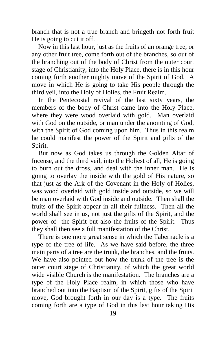branch that is not a true branch and bringeth not forth fruit He is going to cut it off.

 Now in this last hour, just as the fruits of an orange tree, or any other fruit tree, come forth out of the branches, so out of the branching out of the body of Christ from the outer court stage of Christianity, into the Holy Place, there is in this hour coming forth another mighty move of the Spirit of God. A move in which He is going to take His people through the third veil, into the Holy of Holies, the Fruit Realm.

 In the Pentecostal revival of the last sixty years, the members of the body of Christ came into the Holy Place, where they were wood overlaid with gold. Man overlaid with God on the outside, or man under the anointing of God, with the Spirit of God coming upon him. Thus in this realm he could manifest the power of the Spirit and gifts of the Spirit.

 But now as God takes us through the Golden Altar of Incense, and the third veil, into the Holiest of all, He is going to burn out the dross, and deal with the inner man. He is going to overlay the inside with the gold of His nature, so that just as the Ark of the Covenant in the Holy of Holies, was wood overlaid with gold inside and outside, so we will be man overlaid with God inside and outside. Then shall the fruits of the Spirit appear in all their fullness. Then all the world shall see in us, not just the gifts of the Spirit, and the power of the Spirit but also the fruits of the Spirit. Thus they shall then see a full manifestation of the Christ.

 There is one more great sense in which the Tabernacle is a type of the tree of life. As we have said before, the three main parts of a tree are the trunk, the branches, and the fruits. We have also pointed out how the trunk of the tree is the outer court stage of Christianity, of which the great world wide visible Church is the manifestation. The branches are a type of the Holy Place realm, in which those who have branched out into the Baptism of the Spirit, gifts of the Spirit move, God brought forth in our day is a type. The fruits coming forth are a type of God in this last hour taking His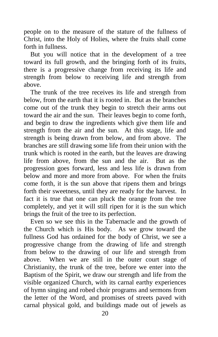people on to the measure of the stature of the fullness of Christ, into the Holy of Holies, where the fruits shall come forth in fullness.

 But you will notice that in the development of a tree toward its full growth, and the bringing forth of its fruits, there is a progressive change from receiving its life and strength from below to receiving life and strength from above.

 The trunk of the tree receives its life and strength from below, from the earth that it is rooted in. But as the branches come out of the trunk they begin to stretch their arms out toward the air and the sun. Their leaves begin to come forth, and begin to draw the ingredients which give them life and strength from the air and the sun. At this stage, life and strength is being drawn from below, and from above. The branches are still drawing some life from their union with the trunk which is rooted in the earth, but the leaves are drawing life from above, from the sun and the air. But as the progression goes forward, less and less life is drawn from below and more and more from above. For when the fruits come forth, it is the sun above that ripens them and brings forth their sweetness, until they are ready for the harvest. In fact it is true that one can pluck the orange from the tree completely, and yet it will still ripen for it is the sun which brings the fruit of the tree to its perfection.

 Even so we see this in the Tabernacle and the growth of the Church which is His body. As we grow toward the fullness God has ordained for the body of Christ, we see a progressive change from the drawing of life and strength from below to the drawing of our life and strength from above. When we are still in the outer court stage of Christianity, the trunk of the tree, before we enter into the Baptism of the Spirit, we draw our strength and life from the visible organized Church, with its carnal earthy experiences of hymn singing and robed choir programs and sermons from the letter of the Word, and promises of streets paved with carnal physical gold, and buildings made out of jewels as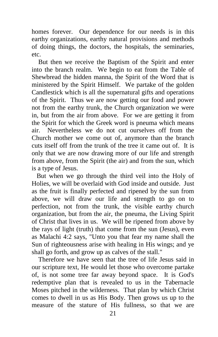homes forever. Our dependence for our needs is in this earthy organizations, earthy natural provisions and methods of doing things, the doctors, the hospitals, the seminaries, etc.

 But then we receive the Baptism of the Spirit and enter into the branch realm. We begin to eat from the Table of Shewbread the hidden manna, the Spirit of the Word that is ministered by the Spirit Himself. We partake of the golden Candlestick which is all the supernatural gifts and operations of the Spirit. Thus we are now getting our food and power not from the earthy trunk, the Church organization we were in, but from the air from above. For we are getting it from the Spirit for which the Greek word is pneuma which means air. Nevertheless we do not cut ourselves off from the Church mother we come out of, anymore than the branch cuts itself off from the trunk of the tree it came out of. It is only that we are now drawing more of our life and strength from above, from the Spirit (the air) and from the sun, which is a type of Jesus.

 But when we go through the third veil into the Holy of Holies, we will be overlaid with God inside and outside. Just as the fruit is finally perfected and ripened by the sun from above, we will draw our life and strength to go on to perfection, not from the trunk, the visible earthy church organization, but from the air, the pneuma, the Living Spirit of Christ that lives in us. We will be ripened from above by the rays of light (truth) that come from the sun (Jesus), even as Malachi 4:2 says, "Unto you that fear my name shall the Sun of righteousness arise with healing in His wings; and ye shall go forth, and grow up as calves of the stall."

 Therefore we have seen that the tree of life Jesus said in our scripture text, He would let those who overcome partake of, is not some tree far away beyond space. It is God's redemptive plan that is revealed to us in the Tabernacle Moses pitched in the wilderness. That plan by which Christ comes to dwell in us as His Body. Then grows us up to the measure of the stature of His fullness, so that we are